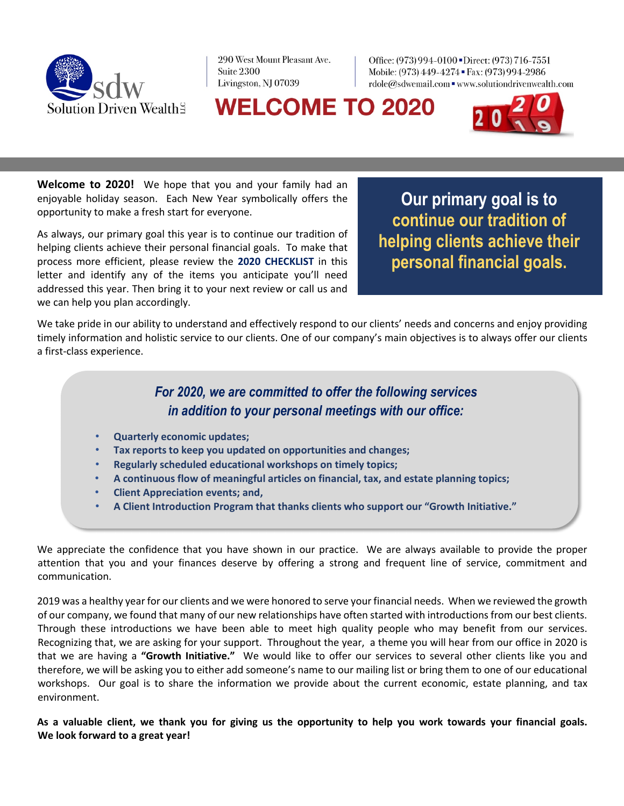

290 West Mount Pleasant Ave. Suite 2300 Livingston, NJ 07039

Office: (973) 994-0100 Direct: (973) 716-7551 Mobile: (973) 449-4274 · Fax: (973) 994-2986 rdole@sdwemail.com = www.solutiondrivenwealth.com

# **WELCOME TO 2020**



**Welcome to 2020!** We hope that you and your family had an enjoyable holiday season. Each New Year symbolically offers the opportunity to make a fresh start for everyone.

As always, our primary goal this year is to continue our tradition of helping clients achieve their personal financial goals. To make that process more efficient, please review the **2020 CHECKLIST** in this letter and identify any of the items you anticipate you'll need addressed this year. Then bring it to your next review or call us and we can help you plan accordingly.

**Our primary goal is to continue our tradition of helping clients achieve their personal financial goals.** 

We take pride in our ability to understand and effectively respond to our clients' needs and concerns and enjoy providing timely information and holistic service to our clients. One of our company's main objectives is to always offer our clients a first-class experience.

#### *For 2020, we are committed to offer the following services in addition to your personal meetings with our office:*

- **Quarterly economic updates;**
- **Tax reports to keep you updated on opportunities and changes;**
- **Regularly scheduled educational workshops on timely topics;**
- **A continuous flow of meaningful articles on financial, tax, and estate planning topics;**
- **Client Appreciation events; and,**
- **A Client Introduction Program that thanks clients who support our "Growth Initiative."**

We appreciate the confidence that you have shown in our practice. We are always available to provide the proper attention that you and your finances deserve by offering a strong and frequent line of service, commitment and communication.

2019 was a healthy year for our clients and we were honored to serve your financial needs. When we reviewed the growth of our company, we found that many of our new relationships have often started with introductions from our best clients. Through these introductions we have been able to meet high quality people who may benefit from our services. Recognizing that, we are asking for your support. Throughout the year, a theme you will hear from our office in 2020 is that we are having a **"Growth Initiative."** We would like to offer our services to several other clients like you and therefore, we will be asking you to either add someone's name to our mailing list or bring them to one of our educational workshops. Our goal is to share the information we provide about the current economic, estate planning, and tax environment.

**As a valuable client, we thank you for giving us the opportunity to help you work towards your financial goals. We look forward to a great year!**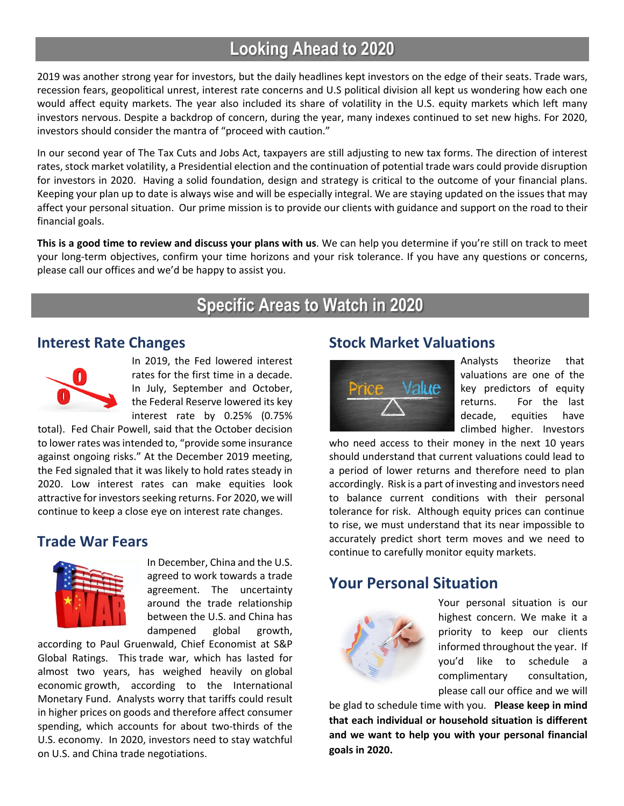# **Looking Ahead to 2020**

2019 was another strong year for investors, but the daily headlines kept investors on the edge of their seats. Trade wars, recession fears, geopolitical unrest, interest rate concerns and U.S political division all kept us wondering how each one would affect equity markets. The year also included its share of volatility in the U.S. equity markets which left many investors nervous. Despite a backdrop of concern, during the year, many indexes continued to set new highs. For 2020, investors should consider the mantra of "proceed with caution."

In our second year of The Tax Cuts and Jobs Act, taxpayers are still adjusting to new tax forms. The direction of interest rates, stock market volatility, a Presidential election and the continuation of potential trade wars could provide disruption for investors in 2020. Having a solid foundation, design and strategy is critical to the outcome of your financial plans. Keeping your plan up to date is always wise and will be especially integral. We are staying updated on the issues that may affect your personal situation. Our prime mission is to provide our clients with guidance and support on the road to their financial goals.

**This is a good time to review and discuss your plans with us**. We can help you determine if you're still on track to meet your long-term objectives, confirm your time horizons and your risk tolerance. If you have any questions or concerns, please call our offices and we'd be happy to assist you.

## **Specific Areas to Watch in 2020**

#### **Interest Rate Changes**



In 2019, the Fed lowered interest rates for the first time in a decade. In July, September and October, the Federal Reserve lowered its key interest rate by 0.25% (0.75%

total). Fed Chair Powell, said that the October decision to lower rates was intended to, "provide some insurance against ongoing risks." At the December 2019 meeting, the Fed signaled that it was likely to hold rates steady in 2020. Low interest rates can make equities look attractive for investors seeking returns. For 2020, we will continue to keep a close eye on interest rate changes.

#### **Trade War Fears**



In December, China and the U.S. agreed to work towards a trade agreement. The uncertainty around the trade relationship between the U.S. and China has dampened global growth,

according to Paul Gruenwald, Chief Economist at S&P Global Ratings. This trade war, which has lasted for almost two years, has weighed heavily on global economic growth, according to the International Monetary Fund. Analysts worry that tariffs could result in higher prices on goods and therefore affect consumer spending, which accounts for about two-thirds of the U.S. economy. In 2020, investors need to stay watchful on U.S. and China trade negotiations.

#### **Stock Market Valuations**



Analysts theorize that valuations are one of the key predictors of equity returns. For the last decade, equities have climbed higher. Investors

who need access to their money in the next 10 years should understand that current valuations could lead to a period of lower returns and therefore need to plan accordingly. Risk is a part of investing and investors need to balance current conditions with their personal tolerance for risk. Although equity prices can continue to rise, we must understand that its near impossible to accurately predict short term moves and we need to continue to carefully monitor equity markets.

### **Your Personal Situation**



Your personal situation is our highest concern. We make it a priority to keep our clients informed throughout the year. If you'd like to schedule a complimentary consultation, please call our office and we will

be glad to schedule time with you. **Please keep in mind that each individual or household situation is different and we want to help you with your personal financial goals in 2020.**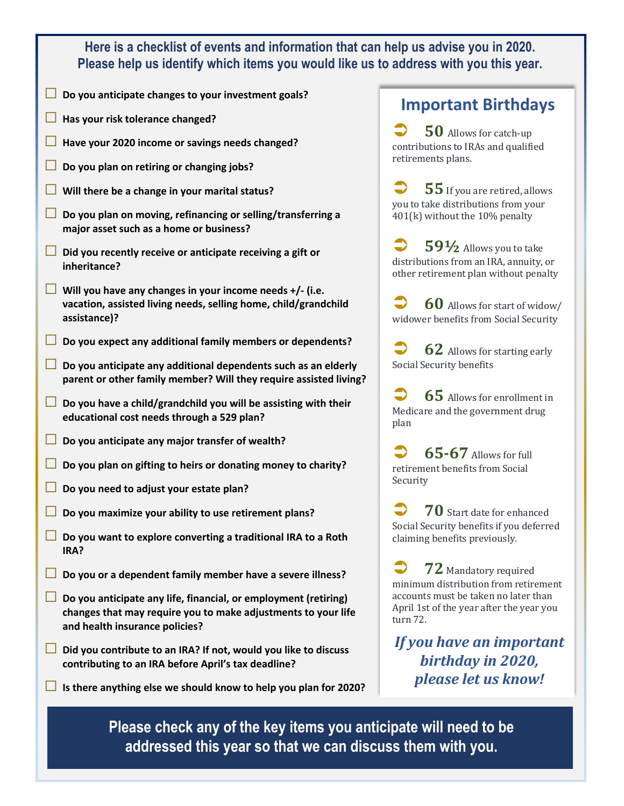#### **Here is a checklist of events and information that can help us advise you in 2020. Please help us identify which items you would like us to address with you this year.**

- **□ Do you anticipate changes to your investment goals?**
- **□ Has your risk tolerance changed?**
- **□ Have your 2020 income or savings needs changed?**
- **□ Do you plan on retiring or changing jobs?**
- **□ Will there be a change in your marital status?**
- **□ Do you plan on moving, refinancing or selling/transferring a major asset such as a home or business?**
- **□ Did you recently receive or anticipate receiving a gift or inheritance?**
- **□ Will you have any changes in your income needs +/- (i.e. vacation, assisted living needs, selling home, child/grandchild assistance)?**
- **□ Do you expect any additional family members or dependents?**
- **□ Do you anticipate any additional dependents such as an elderly parent or other family member? Will they require assisted living?**
- **□ Do you have a child/grandchild you will be assisting with their educational cost needs through a 529 plan?**
- **□ Do you anticipate any major transfer of wealth?**
- **□ Do you plan on gifting to heirs or donating money to charity?**
- **□ Do you need to adjust your estate plan?**
- **□ Do you maximize your ability to use retirement plans?**
- **□ Do you want to explore converting a traditional IRA to a Roth IRA?**
- **□ Do you or a dependent family member have a severe illness?**
- **□ Do you anticipate any life, financial, or employment (retiring) changes that may require you to make adjustments to your life and health insurance policies?**
- **□ Did you contribute to an IRA? If not, would you like to discuss contributing to an IRA before April's tax deadline?**
- **□ Is there anything else we should know to help you plan for 2020?**

#### **Important Birthdays**

**50** Allows for catch-up contributions to IRAs and qualified retirements plans.

**55** If you are retired, allows you to take distributions from your  $401(k)$  without the  $10\%$  penalty

 $59\frac{1}{2}$  Allows you to take distributions from an IRA, annuity, or other retirement plan without penalty

**60** Allows for start of widow/ widower benefits from Social Security

**62** Allows for starting early Social Security benefits

**3** 65 Allows for enrollment in Medicare and the government drug plan

 $65-67$  Allows for full retirement benefits from Social Security

**70** Start date for enhanced Social Security benefits if you deferred claiming benefits previously.

**72** Mandatory required minimum distribution from retirement accounts must be taken no later than April 1st of the year after the year you turn 72.

*If you have an important* birthday in 2020, *please let us know!* 

**Please check any of the key items you anticipate will need to be addressed this year so that we can discuss them with you.**